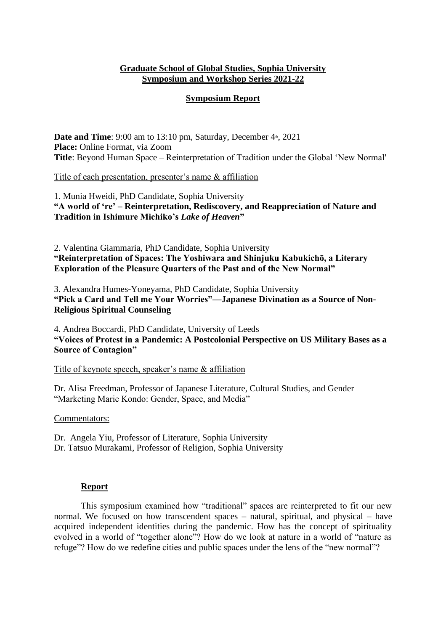## **Graduate School of Global Studies, Sophia University Symposium and Workshop Series 2021-22**

## **Symposium Report**

**Date and Time**: 9:00 am to 13:10 pm, Saturday, December  $4<sup>*</sup>$ , 2021 **Place:** Online Format, via Zoom **Title**: Beyond Human Space – Reinterpretation of Tradition under the Global 'New Normal'

Title of each presentation, presenter's name & affiliation

1. Munia Hweidi, PhD Candidate, Sophia University **"A world of 're' – Reinterpretation, Rediscovery, and Reappreciation of Nature and Tradition in Ishimure Michiko's** *Lake of Heaven***"**

2. Valentina Giammaria, PhD Candidate, Sophia University **"Reinterpretation of Spaces: The Yoshiwara and Shinjuku Kabukichō, a Literary Exploration of the Pleasure Quarters of the Past and of the New Normal"** 

3. Alexandra Humes-Yoneyama, PhD Candidate, Sophia University **"Pick a Card and Tell me Your Worries"—Japanese Divination as a Source of Non-Religious Spiritual Counseling**

4. Andrea Boccardi, PhD Candidate, University of Leeds **"Voices of Protest in a Pandemic: A Postcolonial Perspective on US Military Bases as a Source of Contagion"**

Title of keynote speech, speaker's name & affiliation

Dr. Alisa Freedman, Professor of Japanese Literature, Cultural Studies, and Gender "Marketing Marie Kondo: Gender, Space, and Media"

Commentators:

Dr. Angela Yiu, Professor of Literature, Sophia University Dr. Tatsuo Murakami, Professor of Religion, Sophia University

## **Report**

This symposium examined how "traditional" spaces are reinterpreted to fit our new normal. We focused on how transcendent spaces – natural, spiritual, and physical – have acquired independent identities during the pandemic. How has the concept of spirituality evolved in a world of "together alone"? How do we look at nature in a world of "nature as refuge"? How do we redefine cities and public spaces under the lens of the "new normal"?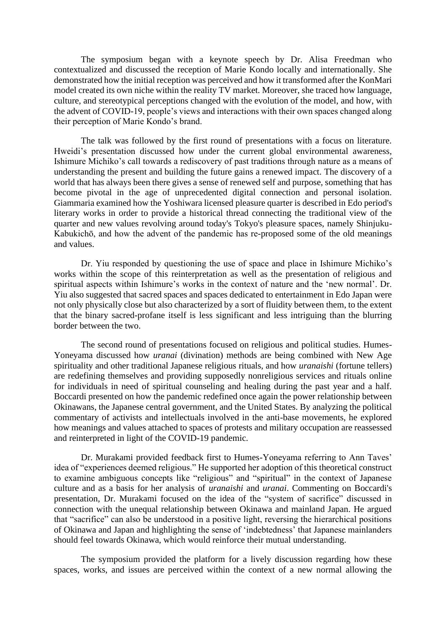The symposium began with a keynote speech by Dr. Alisa Freedman who contextualized and discussed the reception of Marie Kondo locally and internationally. She demonstrated how the initial reception was perceived and how it transformed after the KonMari model created its own niche within the reality TV market. Moreover, she traced how language, culture, and stereotypical perceptions changed with the evolution of the model, and how, with the advent of COVID-19, people's views and interactions with their own spaces changed along their perception of Marie Kondo's brand.

The talk was followed by the first round of presentations with a focus on literature. Hweidi's presentation discussed how under the current global environmental awareness, Ishimure Michiko's call towards a rediscovery of past traditions through nature as a means of understanding the present and building the future gains a renewed impact. The discovery of a world that has always been there gives a sense of renewed self and purpose, something that has become pivotal in the age of unprecedented digital connection and personal isolation. Giammaria examined how the Yoshiwara licensed pleasure quarter is described in Edo period's literary works in order to provide a historical thread connecting the traditional view of the quarter and new values revolving around today's Tokyo's pleasure spaces, namely Shinjuku-Kabukichō, and how the advent of the pandemic has re-proposed some of the old meanings and values.

Dr. Yiu responded by questioning the use of space and place in Ishimure Michiko's works within the scope of this reinterpretation as well as the presentation of religious and spiritual aspects within Ishimure's works in the context of nature and the 'new normal'. Dr. Yiu also suggested that sacred spaces and spaces dedicated to entertainment in Edo Japan were not only physically close but also characterized by a sort of fluidity between them, to the extent that the binary sacred-profane itself is less significant and less intriguing than the blurring border between the two.

The second round of presentations focused on religious and political studies. Humes-Yoneyama discussed how *uranai* (divination) methods are being combined with New Age spirituality and other traditional Japanese religious rituals, and how *uranaishi* (fortune tellers) are redefining themselves and providing supposedly nonreligious services and rituals online for individuals in need of spiritual counseling and healing during the past year and a half. Boccardi presented on how the pandemic redefined once again the power relationship between Okinawans, the Japanese central government, and the United States. By analyzing the political commentary of activists and intellectuals involved in the anti-base movements, he explored how meanings and values attached to spaces of protests and military occupation are reassessed and reinterpreted in light of the COVID-19 pandemic.

Dr. Murakami provided feedback first to Humes-Yoneyama referring to Ann Taves' idea of "experiences deemed religious." He supported her adoption of this theoretical construct to examine ambiguous concepts like "religious" and "spiritual" in the context of Japanese culture and as a basis for her analysis of *uranaishi* and *uranai*. Commenting on Boccardi's presentation, Dr. Murakami focused on the idea of the "system of sacrifice" discussed in connection with the unequal relationship between Okinawa and mainland Japan. He argued that "sacrifice" can also be understood in a positive light, reversing the hierarchical positions of Okinawa and Japan and highlighting the sense of 'indebtedness' that Japanese mainlanders should feel towards Okinawa, which would reinforce their mutual understanding.

The symposium provided the platform for a lively discussion regarding how these spaces, works, and issues are perceived within the context of a new normal allowing the